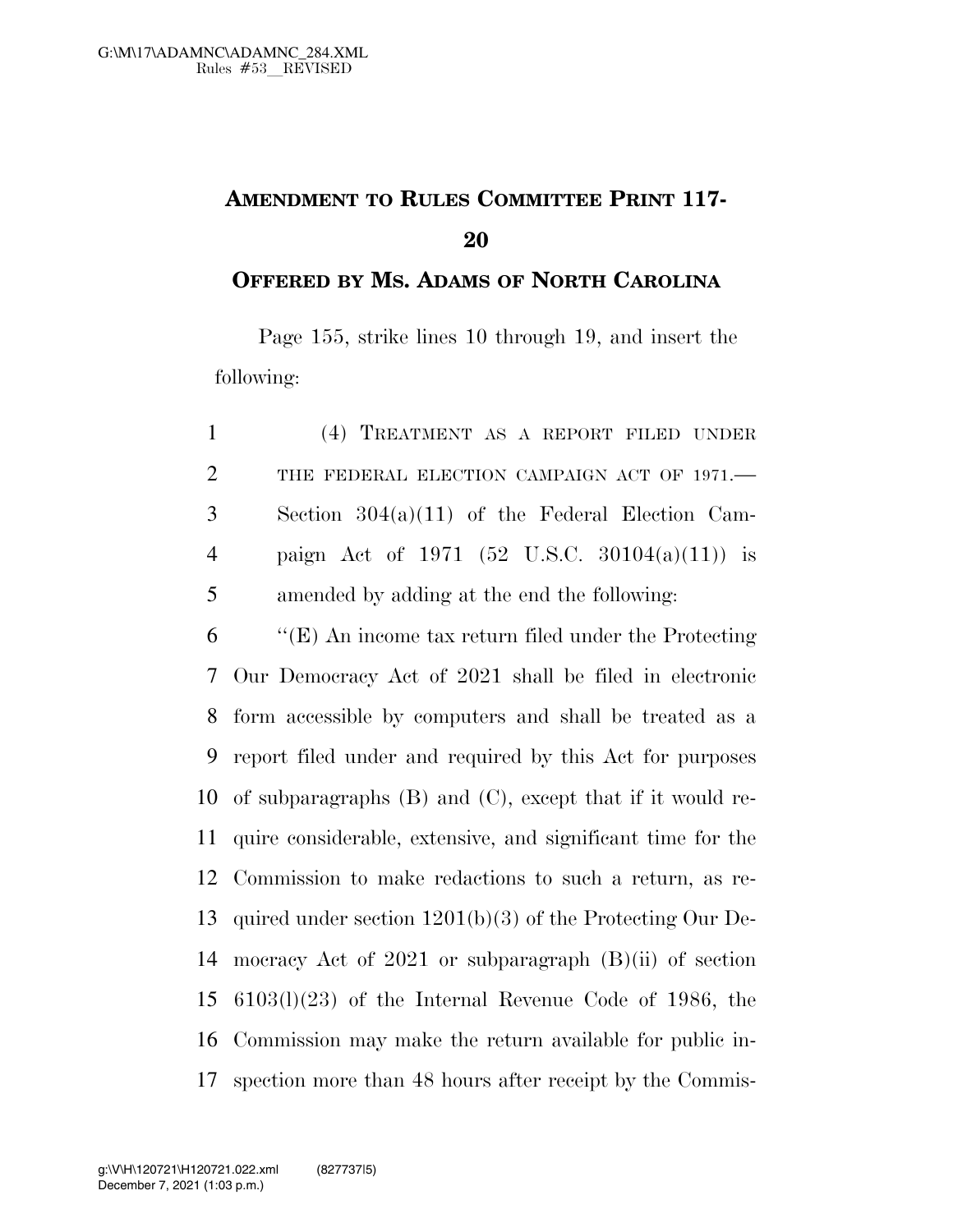## **AMENDMENT TO RULES COMMITTEE PRINT 117-**

**OFFERED BY MS. ADAMS OF NORTH CAROLINA**

Page 155, strike lines 10 through 19, and insert the following:

| $\mathbf{1}$   | (4) TREATMENT AS A REPORT FILED UNDER             |
|----------------|---------------------------------------------------|
| 2              | THE FEDERAL ELECTION CAMPAIGN ACT OF 1971.-       |
| 3              | Section $304(a)(11)$ of the Federal Election Cam- |
| $\overline{4}$ | paign Act of 1971 (52 U.S.C. 30104(a)(11)) is     |
| 5              | amended by adding at the end the following:       |

 ''(E) An income tax return filed under the Protecting Our Democracy Act of 2021 shall be filed in electronic form accessible by computers and shall be treated as a report filed under and required by this Act for purposes of subparagraphs (B) and (C), except that if it would re- quire considerable, extensive, and significant time for the Commission to make redactions to such a return, as re- quired under section 1201(b)(3) of the Protecting Our De- mocracy Act of 2021 or subparagraph (B)(ii) of section 6103(l)(23) of the Internal Revenue Code of 1986, the Commission may make the return available for public in-spection more than 48 hours after receipt by the Commis-